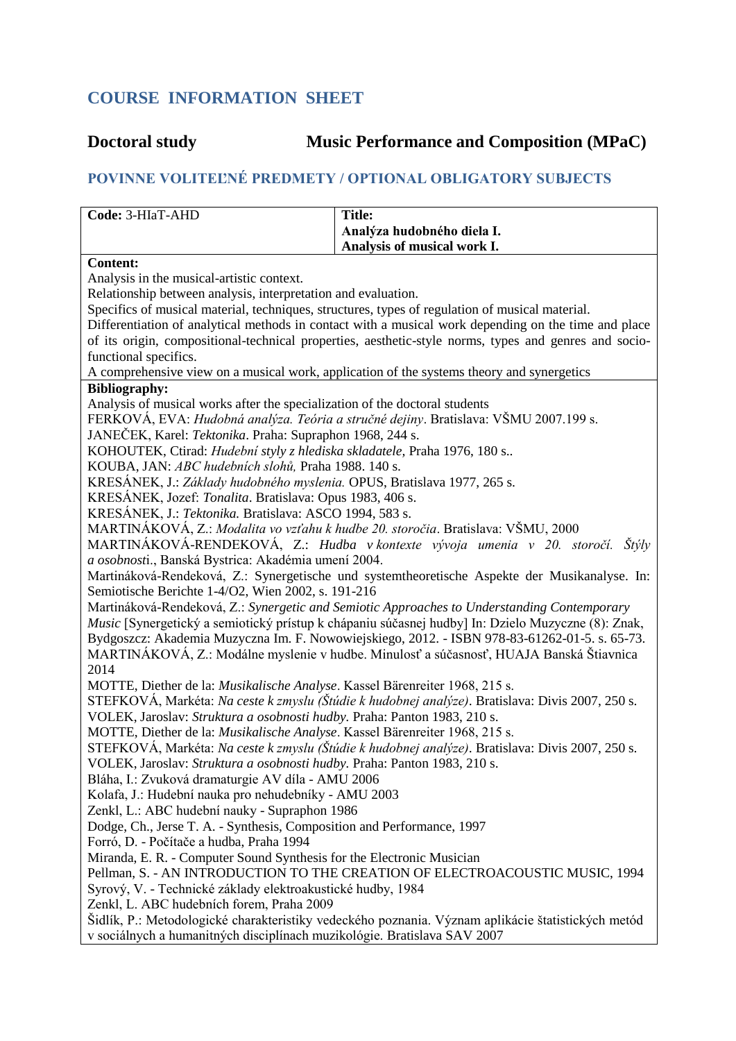## **COURSE INFORMATION SHEET**

## **Doctoral study Music Performance and Composition (MPaC)**

## **POVINNE VOLITEĽNÉ PREDMETY / OPTIONAL OBLIGATORY SUBJECTS**

| Code: 3-HIaT-AHD                                                                                                                                                             | <b>Title:</b>                                                                                      |  |
|------------------------------------------------------------------------------------------------------------------------------------------------------------------------------|----------------------------------------------------------------------------------------------------|--|
|                                                                                                                                                                              | Analýza hudobného diela I.                                                                         |  |
|                                                                                                                                                                              | Analysis of musical work I.                                                                        |  |
| <b>Content:</b>                                                                                                                                                              |                                                                                                    |  |
| Analysis in the musical-artistic context.                                                                                                                                    |                                                                                                    |  |
| Relationship between analysis, interpretation and evaluation.                                                                                                                |                                                                                                    |  |
| Specifics of musical material, techniques, structures, types of regulation of musical material.                                                                              |                                                                                                    |  |
| Differentiation of analytical methods in contact with a musical work depending on the time and place                                                                         |                                                                                                    |  |
| of its origin, compositional-technical properties, aesthetic-style norms, types and genres and socio-<br>functional specifics.                                               |                                                                                                    |  |
| A comprehensive view on a musical work, application of the systems theory and synergetics                                                                                    |                                                                                                    |  |
| <b>Bibliography:</b>                                                                                                                                                         |                                                                                                    |  |
| Analysis of musical works after the specialization of the doctoral students                                                                                                  |                                                                                                    |  |
| FERKOVÁ, EVA: Hudobná analýza. Teória a stručné dejiny. Bratislava: VŠMU 2007.199 s.                                                                                         |                                                                                                    |  |
| JANEČEK, Karel: <i>Tektonika</i> . Praha: Supraphon 1968, 244 s.                                                                                                             |                                                                                                    |  |
| KOHOUTEK, Ctirad: Hudební styly z hlediska skladatele, Praha 1976, 180 s                                                                                                     |                                                                                                    |  |
| KOUBA, JAN: ABC hudebních slohů, Praha 1988. 140 s.                                                                                                                          |                                                                                                    |  |
| KRESÁNEK, J.: Základy hudobného myslenia. OPUS, Bratislava 1977, 265 s.                                                                                                      |                                                                                                    |  |
| KRESÁNEK, Jozef: Tonalita. Bratislava: Opus 1983, 406 s.                                                                                                                     |                                                                                                    |  |
| KRESÁNEK, J.: Tektonika. Bratislava: ASCO 1994, 583 s.                                                                                                                       |                                                                                                    |  |
| MARTINÁKOVÁ, Z.: Modalita vo vzťahu k hudbe 20. storočia. Bratislava: VŠMU, 2000                                                                                             |                                                                                                    |  |
|                                                                                                                                                                              | MARTINÁKOVÁ-RENDEKOVÁ, Z.: Hudba v kontexte vývoja umenia v 20. storočí. Štýly                     |  |
| a osobnosti., Banská Bystrica: Akadémia umení 2004.                                                                                                                          |                                                                                                    |  |
| Martináková-Rendeková, Z.: Synergetische und systemtheoretische Aspekte der Musikanalyse. In:<br>Semiotische Berichte 1-4/O2, Wien 2002, s. 191-216                          |                                                                                                    |  |
| Martináková-Rendeková, Z.: Synergetic and Semiotic Approaches to Understanding Contemporary                                                                                  |                                                                                                    |  |
|                                                                                                                                                                              | Music [Synergetický a semiotický prístup k chápaniu súčasnej hudby] In: Dzielo Muzyczne (8): Znak, |  |
|                                                                                                                                                                              | Bydgoszcz: Akademia Muzyczna Im. F. Nowowiejskiego, 2012. - ISBN 978-83-61262-01-5. s. 65-73.      |  |
|                                                                                                                                                                              | MARTINÁKOVÁ, Z.: Modálne myslenie v hudbe. Minulosť a súčasnosť, HUAJA Banská Štiavnica            |  |
| 2014                                                                                                                                                                         |                                                                                                    |  |
| MOTTE, Diether de la: Musikalische Analyse. Kassel Bärenreiter 1968, 215 s.                                                                                                  |                                                                                                    |  |
| STEFKOVÁ, Markéta: Na ceste k zmyslu (Štúdie k hudobnej analýze). Bratislava: Divis 2007, 250 s.                                                                             |                                                                                                    |  |
| VOLEK, Jaroslav: Struktura a osobnosti hudby. Praha: Panton 1983, 210 s.                                                                                                     |                                                                                                    |  |
| MOTTE, Diether de la: Musikalische Analyse. Kassel Bärenreiter 1968, 215 s.                                                                                                  |                                                                                                    |  |
| STEFKOVÁ, Markéta: Na ceste k zmyslu (Štúdie k hudobnej analýze). Bratislava: Divis 2007, 250 s.<br>VOLEK, Jaroslav: Struktura a osobnosti hudby. Praha: Panton 1983, 210 s. |                                                                                                    |  |
| Bláha, I.: Zvuková dramaturgie AV díla - AMU 2006                                                                                                                            |                                                                                                    |  |
| Kolafa, J.: Hudební nauka pro nehudebníky - AMU 2003                                                                                                                         |                                                                                                    |  |
| Zenkl, L.: ABC hudební nauky - Supraphon 1986                                                                                                                                |                                                                                                    |  |
| Dodge, Ch., Jerse T. A. - Synthesis, Composition and Performance, 1997                                                                                                       |                                                                                                    |  |
| Forró, D. - Počítače a hudba, Praha 1994                                                                                                                                     |                                                                                                    |  |
| Miranda, E. R. - Computer Sound Synthesis for the Electronic Musician                                                                                                        |                                                                                                    |  |
| Pellman, S. - AN INTRODUCTION TO THE CREATION OF ELECTROACOUSTIC MUSIC, 1994                                                                                                 |                                                                                                    |  |
| Syrový, V. - Technické základy elektroakustické hudby, 1984                                                                                                                  |                                                                                                    |  |
| Zenkl, L. ABC hudebních forem, Praha 2009                                                                                                                                    |                                                                                                    |  |
| Šidlík, P.: Metodologické charakteristiky vedeckého poznania. Význam aplikácie štatistických metód                                                                           |                                                                                                    |  |
| v sociálnych a humanitných disciplínach muzikológie. Bratislava SAV 2007                                                                                                     |                                                                                                    |  |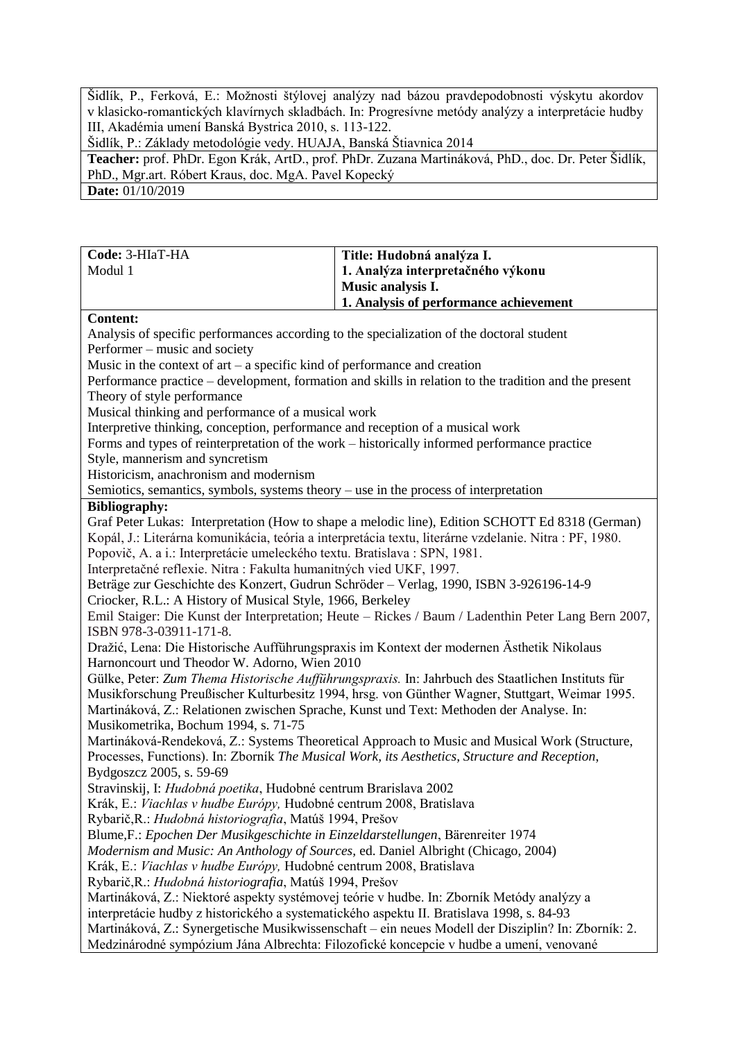Šidlík, P., Ferková, E.: Možnosti štýlovej analýzy nad bázou pravdepodobnosti výskytu akordov v klasicko-romantických klavírnych skladbách. In: Progresívne metódy analýzy a interpretácie hudby III, Akadémia umení Banská Bystrica 2010, s. 113-122.

Šidlík, P.: Základy metodológie vedy. HUAJA, Banská Štiavnica 2014

**Teacher:** prof. PhDr. Egon Krák, ArtD., prof. PhDr. Zuzana Martináková, PhD., doc. Dr. Peter Šidlík, PhD., Mgr.art. Róbert Kraus, doc. MgA. Pavel Kopecký

**Date:** 01/10/2019

| Code: 3-HIaT-HA                                                                                                                                                                                      | Title: Hudobná analýza I.                                                                    |  |
|------------------------------------------------------------------------------------------------------------------------------------------------------------------------------------------------------|----------------------------------------------------------------------------------------------|--|
| Modul 1                                                                                                                                                                                              | 1. Analýza interpretačného výkonu                                                            |  |
|                                                                                                                                                                                                      | Music analysis I.                                                                            |  |
|                                                                                                                                                                                                      | 1. Analysis of performance achievement                                                       |  |
| <b>Content:</b>                                                                                                                                                                                      |                                                                                              |  |
| Analysis of specific performances according to the specialization of the doctoral student                                                                                                            |                                                                                              |  |
| Performer – music and society                                                                                                                                                                        |                                                                                              |  |
| Music in the context of $art - a$ specific kind of performance and creation                                                                                                                          |                                                                                              |  |
| Performance practice – development, formation and skills in relation to the tradition and the present                                                                                                |                                                                                              |  |
| Theory of style performance                                                                                                                                                                          |                                                                                              |  |
| Musical thinking and performance of a musical work                                                                                                                                                   |                                                                                              |  |
| Interpretive thinking, conception, performance and reception of a musical work                                                                                                                       |                                                                                              |  |
|                                                                                                                                                                                                      | Forms and types of reinterpretation of the work – historically informed performance practice |  |
| Style, mannerism and syncretism                                                                                                                                                                      |                                                                                              |  |
| Historicism, anachronism and modernism                                                                                                                                                               |                                                                                              |  |
| Semiotics, semantics, symbols, systems theory $-$ use in the process of interpretation                                                                                                               |                                                                                              |  |
| <b>Bibliography:</b>                                                                                                                                                                                 |                                                                                              |  |
| Graf Peter Lukas: Interpretation (How to shape a melodic line), Edition SCHOTT Ed 8318 (German)                                                                                                      |                                                                                              |  |
| Kopál, J.: Literárna komunikácia, teória a interpretácia textu, literárne vzdelanie. Nitra : PF, 1980.                                                                                               |                                                                                              |  |
| Popovič, A. a i.: Interpretácie umeleckého textu. Bratislava : SPN, 1981.                                                                                                                            |                                                                                              |  |
| Interpretačné reflexie. Nitra : Fakulta humanitných vied UKF, 1997.                                                                                                                                  |                                                                                              |  |
| Beträge zur Geschichte des Konzert, Gudrun Schröder - Verlag, 1990, ISBN 3-926196-14-9                                                                                                               |                                                                                              |  |
| Criocker, R.L.: A History of Musical Style, 1966, Berkeley                                                                                                                                           |                                                                                              |  |
| Emil Staiger: Die Kunst der Interpretation; Heute - Rickes / Baum / Ladenthin Peter Lang Bern 2007,                                                                                                  |                                                                                              |  |
| ISBN 978-3-03911-171-8.                                                                                                                                                                              |                                                                                              |  |
| Dražić, Lena: Die Historische Aufführungspraxis im Kontext der modernen Ästhetik Nikolaus                                                                                                            |                                                                                              |  |
| Harnoncourt und Theodor W. Adorno, Wien 2010                                                                                                                                                         |                                                                                              |  |
| Gülke, Peter: Zum Thema Historische Aufführungspraxis. In: Jahrbuch des Staatlichen Instituts für<br>Musikforschung Preußischer Kulturbesitz 1994, hrsg. von Günther Wagner, Stuttgart, Weimar 1995. |                                                                                              |  |
| Martináková, Z.: Relationen zwischen Sprache, Kunst und Text: Methoden der Analyse. In:                                                                                                              |                                                                                              |  |
| Musikometrika, Bochum 1994, s. 71-75                                                                                                                                                                 |                                                                                              |  |
| Martináková-Rendeková, Z.: Systems Theoretical Approach to Music and Musical Work (Structure,                                                                                                        |                                                                                              |  |
| Processes, Functions). In: Zborník The Musical Work, its Aesthetics, Structure and Reception,                                                                                                        |                                                                                              |  |
| Bydgoszcz 2005, s. 59-69                                                                                                                                                                             |                                                                                              |  |
| Stravinskij, I: Hudobná poetika, Hudobné centrum Brarislava 2002                                                                                                                                     |                                                                                              |  |
| Krák, E.: Viachlas v hudbe Európy, Hudobné centrum 2008, Bratislava                                                                                                                                  |                                                                                              |  |
| Rybarič, R.: Hudobná historiografia, Matúš 1994, Prešov                                                                                                                                              |                                                                                              |  |
| Blume, F.: Epochen Der Musikgeschichte in Einzeldarstellungen, Bärenreiter 1974                                                                                                                      |                                                                                              |  |
| Modernism and Music: An Anthology of Sources, ed. Daniel Albright (Chicago, 2004)                                                                                                                    |                                                                                              |  |
| Krák, E.: Viachlas v hudbe Európy, Hudobné centrum 2008, Bratislava                                                                                                                                  |                                                                                              |  |
| Rybarič, R.: Hudobná historiografia, Matúš 1994, Prešov                                                                                                                                              |                                                                                              |  |
| Martináková, Z.: Niektoré aspekty systémovej teórie v hudbe. In: Zborník Metódy analýzy a                                                                                                            |                                                                                              |  |
| interpretácie hudby z historického a systematického aspektu II. Bratislava 1998, s. 84-93                                                                                                            |                                                                                              |  |
| Martináková, Z.: Synergetische Musikwissenschaft - ein neues Modell der Disziplin? In: Zborník: 2.                                                                                                   |                                                                                              |  |
| Medzinárodné sympózium Jána Albrechta: Filozofické koncepcie v hudbe a umení, venované                                                                                                               |                                                                                              |  |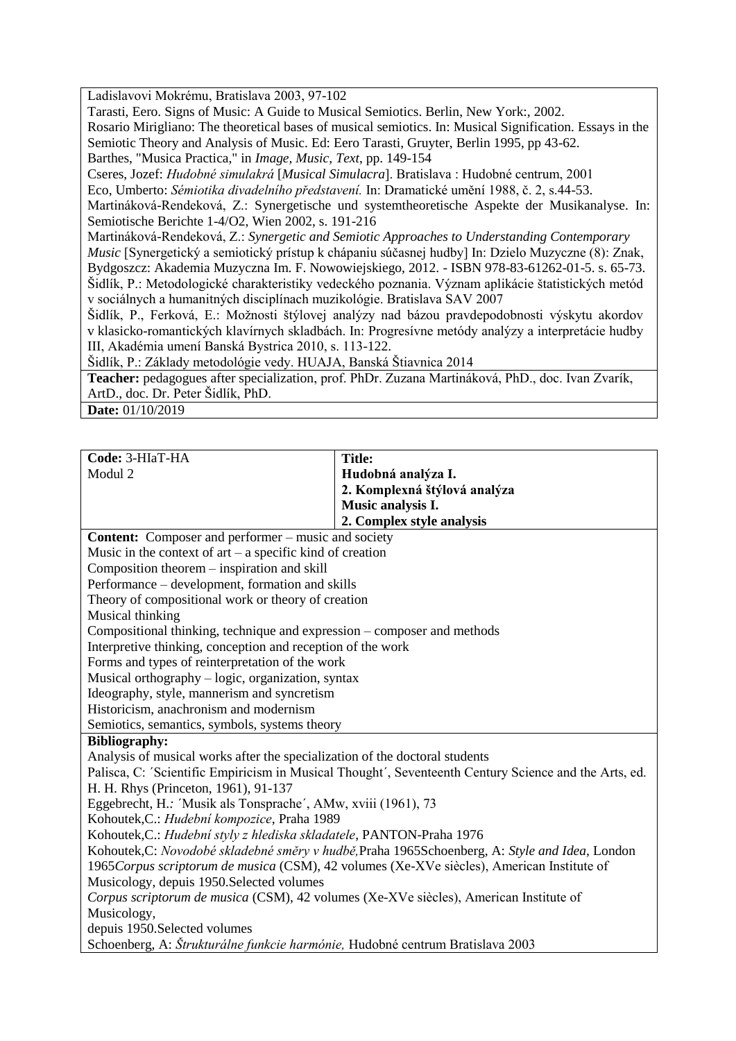Ladislavovi Mokrému, Bratislava 2003, 97-102

Tarasti, Eero. Signs of Music: A Guide to Musical Semiotics. Berlin, New York:, 2002.

Rosario Mirigliano: The theoretical bases of musical semiotics. In: Musical Signification. Essays in the Semiotic Theory and Analysis of Music. Ed: Eero Tarasti, Gruyter, Berlin 1995, pp 43-62.

Barthes, "Musica Practica," in *Image, Music, Text*, pp. 149-154

Cseres, Jozef: *Hudobné simulakrá* [*Musical Simulacra*]. Bratislava : Hudobné centrum, 2001

Eco, Umberto: *Sémiotika divadelního představení.* In: Dramatické umění 1988, č. 2, s.44-53.

Martináková-Rendeková, Z.: Synergetische und systemtheoretische Aspekte der Musikanalyse. In: Semiotische Berichte 1-4/O2, Wien 2002, s. 191-216

Martináková-Rendeková, Z.: *Synergetic and Semiotic Approaches to Understanding Contemporary Music* [Synergetický a semiotický prístup k chápaniu súčasnej hudby] In: Dzielo Muzyczne (8): Znak, Bydgoszcz: Akademia Muzyczna Im. F. Nowowiejskiego, 2012. - ISBN 978-83-61262-01-5. s. 65-73. Šidlík, P.: Metodologické charakteristiky vedeckého poznania. Význam aplikácie štatistických metód v sociálnych a humanitných disciplínach muzikológie. Bratislava SAV 2007

Šidlík, P., Ferková, E.: Možnosti štýlovej analýzy nad bázou pravdepodobnosti výskytu akordov v klasicko-romantických klavírnych skladbách. In: Progresívne metódy analýzy a interpretácie hudby III, Akadémia umení Banská Bystrica 2010, s. 113-122.

Šidlík, P.: Základy metodológie vedy. HUAJA, Banská Štiavnica 2014

**Teacher:** pedagogues after specialization, prof. PhDr. Zuzana Martináková, PhD., doc. Ivan Zvarík, ArtD., doc. Dr. Peter Šidlík, PhD.

**Date:** 01/10/2019

| Code: 3-HIaT-HA                                                                                       | <b>Title:</b>                |  |
|-------------------------------------------------------------------------------------------------------|------------------------------|--|
| Modul 2                                                                                               | Hudobná analýza I.           |  |
|                                                                                                       | 2. Komplexná štýlová analýza |  |
|                                                                                                       | Music analysis I.            |  |
|                                                                                                       | 2. Complex style analysis    |  |
| <b>Content:</b> Composer and performer – music and society                                            |                              |  |
| Music in the context of $art - a$ specific kind of creation                                           |                              |  |
| Composition theorem – inspiration and skill                                                           |                              |  |
| Performance – development, formation and skills                                                       |                              |  |
| Theory of compositional work or theory of creation                                                    |                              |  |
| Musical thinking                                                                                      |                              |  |
| Compositional thinking, technique and expression – composer and methods                               |                              |  |
| Interpretive thinking, conception and reception of the work                                           |                              |  |
| Forms and types of reinterpretation of the work                                                       |                              |  |
| Musical orthography – logic, organization, syntax                                                     |                              |  |
| Ideography, style, mannerism and syncretism                                                           |                              |  |
| Historicism, anachronism and modernism                                                                |                              |  |
| Semiotics, semantics, symbols, systems theory                                                         |                              |  |
| <b>Bibliography:</b>                                                                                  |                              |  |
| Analysis of musical works after the specialization of the doctoral students                           |                              |  |
| Palisca, C: 'Scientific Empiricism in Musical Thought', Seventeenth Century Science and the Arts, ed. |                              |  |
| H. H. Rhys (Princeton, 1961), 91-137                                                                  |                              |  |
| Eggebrecht, H.: 'Musik als Tonsprache', AMw, xviii (1961), 73                                         |                              |  |
| Kohoutek, C.: Hudební kompozice, Praha 1989                                                           |                              |  |
| Kohoutek, C.: Hudební styly z hlediska skladatele, PANTON-Praha 1976                                  |                              |  |
| Kohoutek, C: Novodobé skladebné směry v hudbě, Praha 1965 Schoenberg, A: Style and Idea, London       |                              |  |
| 1965 Corpus scriptorum de musica (CSM), 42 volumes (Xe-XVe siècles), American Institute of            |                              |  |
| Musicology, depuis 1950. Selected volumes                                                             |                              |  |
| Corpus scriptorum de musica (CSM), 42 volumes (Xe-XVe siècles), American Institute of                 |                              |  |
| Musicology,                                                                                           |                              |  |
| depuis 1950. Selected volumes                                                                         |                              |  |
| Schoenberg, A: Štrukturálne funkcie harmónie, Hudobné centrum Bratislava 2003                         |                              |  |